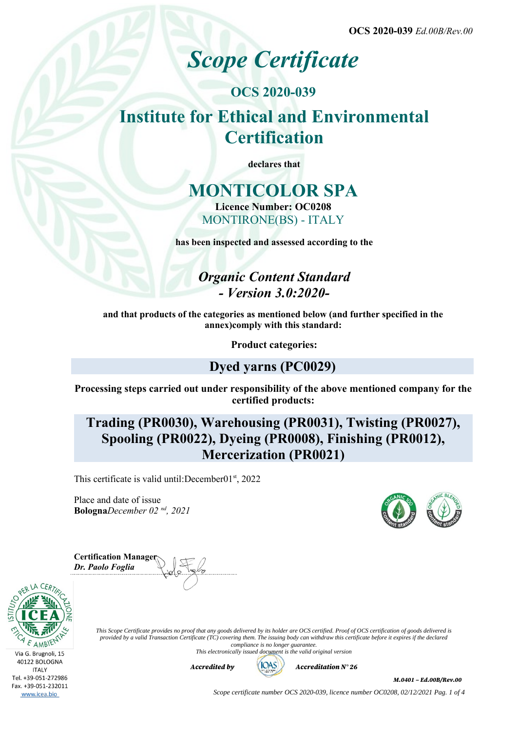**OCS 2020-039** *Ed.00B/Rev.00*

# *Scope Certificate*

## **OCS 2020-039 Institute for Ethical and Environmental Certification**

**declares that**

## **MONTICOLOR SPA**

**Licence Number: OC0208** MONTIRONE(BS) - ITALY

**has been inspected and assessed according to the**

*Organic Content Standard - Version 3.0:2020-*

**and that products of the categories as mentioned below (and further specified in the annex)comply with this standard:**

**Product categories:**

### **Dyed yarns (PC0029)**

**Processing steps carried out under responsibility of the above mentioned company for the certified products:**

**Trading (PR0030), Warehousing (PR0031), Twisting (PR0027), Spooling (PR0022), Dyeing (PR0008), Finishing (PR0012), Mercerization (PR0021)**

This certificate is valid until: December  $01<sup>st</sup>$ , 2022

Place and date of issue **Bologna***December 02 nd, 2021*

**Certification Manager** *Dr. Paolo Foglia*



*This Scope Certificate provides no proof that any goods delivered by its holder are OCS certified. Proof of OCS certification of goods delivered is provided by a valid Transaction Certificate (TC) covering them. The issuing body can withdraw this certificate before it expires if the declared compliance is no longer guarantee.*

*This electronically issued document is the valid original version*



M.0401 – Ed.00B/Rev.00

*Scope certificate number OCS 2020-039, licence number OC0208, 02/12/2021 Pag. 1 of 4*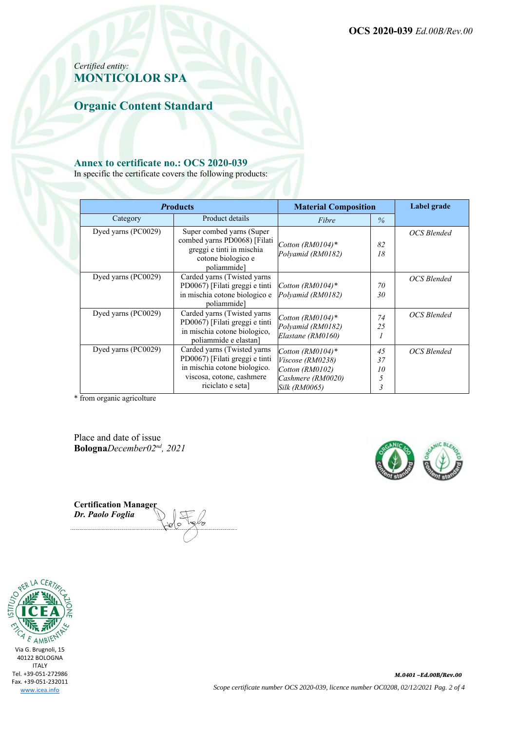**OCS 2020-039** *Ed.00B/Rev.00*

### *Certified entity:* **MONTICOLOR SPA**

**Organic Content Standard**

#### **Annex to certificate no.: OCS 2020-039**

In specific the certificate covers the following products:

| <b>Products</b>     |                                                                                                                                                 | <b>Material Composition</b>                                                                      |                                                | Label grade |
|---------------------|-------------------------------------------------------------------------------------------------------------------------------------------------|--------------------------------------------------------------------------------------------------|------------------------------------------------|-------------|
| Category            | Product details                                                                                                                                 | Fibre                                                                                            | $\frac{0}{6}$                                  |             |
| Dyed yarns (PC0029) | Super combed yarns (Super<br>combed yarns PD0068) [Filati]<br>greggi e tinti in mischia<br>cotone biologico e<br>poliammide]                    | Cotton (RM0104)*<br>Polyamid (RM0182)                                                            | 82<br>18                                       | OCS Blended |
| Dyed yarns (PC0029) | Carded yarns (Twisted yarns<br>PD0067) [Filati greggi e tinti<br>in mischia cotone biologico e<br>poliammide]                                   | Cotton $(RM0104)^*$<br>Polyamid (RM0182)                                                         | 70<br>30                                       | OCS Blended |
| Dyed yarns (PC0029) | Carded yarns (Twisted yarns<br>PD0067) [Filati greggi e tinti<br>in mischia cotone biologico,<br>poliammide e elastan]                          | Cotton $(RM0104)*$<br>Polyamid (RM0182)<br>Elastane (RM0160)                                     | 74<br>25                                       | OCS Blended |
| Dyed yarns (PC0029) | Carded yarns (Twisted yarns<br>PD0067) [Filati greggi e tinti<br>in mischia cotone biologico.<br>viscosa, cotone, cashmere<br>riciclato e seta] | Cotton $(RM0104)^*$<br>Viscose (RM0238)<br>Cotton (RM0102)<br>Cashmere (RM0020)<br>Silk (RM0065) | 45<br>37<br>10<br>5<br>$\overline{\mathbf{3}}$ | OCS Blended |

\* from organic agricolture

Place and date of issue **Bologna***December02nd, 2021*



**Certification Manager** *Dr. Paolo Foglia*